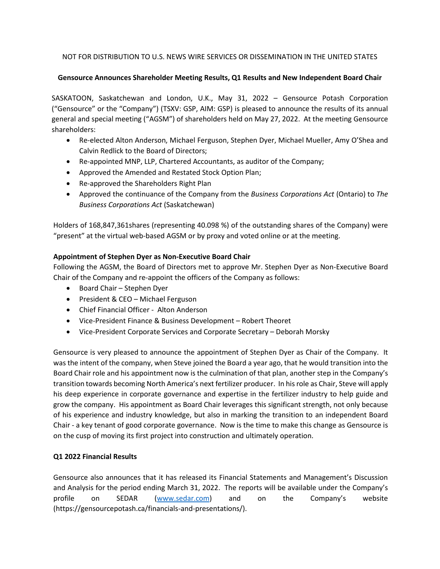# NOT FOR DISTRIBUTION TO U.S. NEWS WIRE SERVICES OR DISSEMINATION IN THE UNITED STATES

### **Gensource Announces Shareholder Meeting Results, Q1 Results and New Independent Board Chair**

SASKATOON, Saskatchewan and London, U.K., May 31, 2022 – Gensource Potash Corporation ("Gensource" or the "Company") (TSXV: GSP, AIM: GSP) is pleased to announce the results of its annual general and special meeting ("AGSM") of shareholders held on May 27, 2022. At the meeting Gensource shareholders:

- Re-elected Alton Anderson, Michael Ferguson, Stephen Dyer, Michael Mueller, Amy O'Shea and Calvin Redlick to the Board of Directors;
- Re-appointed MNP, LLP, Chartered Accountants, as auditor of the Company;
- Approved the Amended and Restated Stock Option Plan;
- Re-approved the Shareholders Right Plan
- Approved the continuance of the Company from the *Business Corporations Act* (Ontario) to *The Business Corporations Act* (Saskatchewan)

Holders of 168,847,361shares (representing 40.098 %) of the outstanding shares of the Company) were "present" at the virtual web-based AGSM or by proxy and voted online or at the meeting.

## **Appointment of Stephen Dyer as Non-Executive Board Chair**

Following the AGSM, the Board of Directors met to approve Mr. Stephen Dyer as Non-Executive Board Chair of the Company and re-appoint the officers of the Company as follows:

- Board Chair Stephen Dyer
- President & CEO Michael Ferguson
- Chief Financial Officer Alton Anderson
- Vice-President Finance & Business Development Robert Theoret
- Vice-President Corporate Services and Corporate Secretary Deborah Morsky

Gensource is very pleased to announce the appointment of Stephen Dyer as Chair of the Company. It was the intent of the company, when Steve joined the Board a year ago, that he would transition into the Board Chair role and his appointment now is the culmination of that plan, another step in the Company's transition towards becoming North America's next fertilizer producer. In his role as Chair, Steve will apply his deep experience in corporate governance and expertise in the fertilizer industry to help guide and grow the company. His appointment as Board Chair leverages this significant strength, not only because of his experience and industry knowledge, but also in marking the transition to an independent Board Chair - a key tenant of good corporate governance. Now is the time to make this change as Gensource is on the cusp of moving its first project into construction and ultimately operation.

### **Q1 2022 Financial Results**

Gensource also announces that it has released its Financial Statements and Management's Discussion and Analysis for the period ending March 31, 2022. The reports will be available under the Company's profile on SEDAR [\(www.sedar.com](http://www.sedar.com/)) and on the Company's website (https://gensourcepotash.ca/financials-and-presentations/).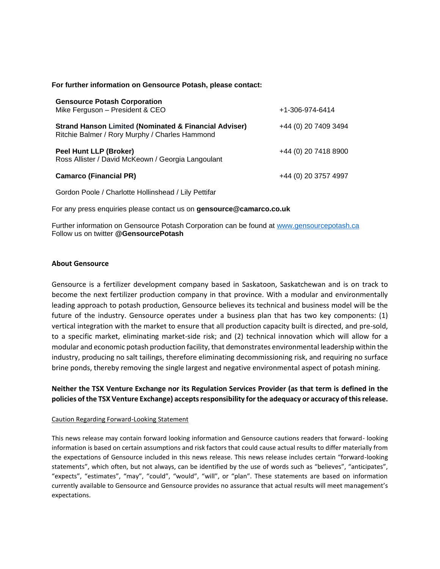### **For further information on Gensource Potash, please contact:**

| <b>Gensource Potash Corporation</b><br>Mike Ferguson - President & CEO                                             | +1-306-974-6414      |
|--------------------------------------------------------------------------------------------------------------------|----------------------|
| <b>Strand Hanson Limited (Nominated &amp; Financial Adviser)</b><br>Ritchie Balmer / Rory Murphy / Charles Hammond | +44 (0) 20 7409 3494 |
| <b>Peel Hunt LLP (Broker)</b><br>Ross Allister / David McKeown / Georgia Langoulant                                | +44 (0) 20 7418 8900 |
| <b>Camarco (Financial PR)</b>                                                                                      | +44 (0) 20 3757 4997 |

Gordon Poole / Charlotte Hollinshead / Lily Pettifar

For any press enquiries please contact us on **gensource@camarco.co.uk**

Further information on Gensource Potash Corporation can be found at [www.gensourcepotash.ca](http://www.gensourcepotash.ca/) Follow us on twitter **@GensourcePotash**

#### **About Gensource**

Gensource is a fertilizer development company based in Saskatoon, Saskatchewan and is on track to become the next fertilizer production company in that province. With a modular and environmentally leading approach to potash production, Gensource believes its technical and business model will be the future of the industry. Gensource operates under a business plan that has two key components: (1) vertical integration with the market to ensure that all production capacity built is directed, and pre-sold, to a specific market, eliminating market-side risk; and (2) technical innovation which will allow for a modular and economic potash production facility, that demonstrates environmental leadership within the industry, producing no salt tailings, therefore eliminating decommissioning risk, and requiring no surface brine ponds, thereby removing the single largest and negative environmental aspect of potash mining.

## **Neither the TSX Venture Exchange nor its Regulation Services Provider (as that term is defined in the policies of the TSX Venture Exchange) accepts responsibility for the adequacy or accuracy of this release.**

#### Caution Regarding Forward-Looking Statement

This news release may contain forward looking information and Gensource cautions readers that forward- looking information is based on certain assumptions and risk factors that could cause actual results to differ materially from the expectations of Gensource included in this news release. This news release includes certain "forward-looking statements", which often, but not always, can be identified by the use of words such as "believes", "anticipates", "expects", "estimates", "may", "could", "would", "will", or "plan". These statements are based on information currently available to Gensource and Gensource provides no assurance that actual results will meet management's expectations.